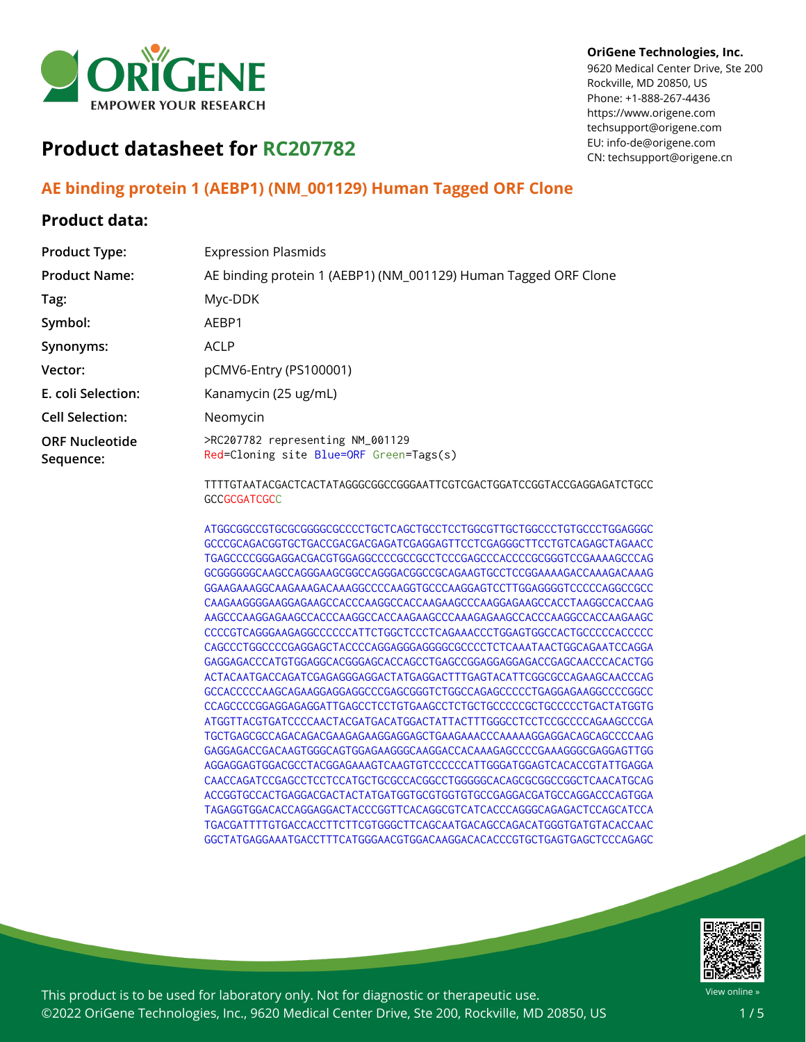

#### **OriGene Technologies, Inc.**

9620 Medical Center Drive, Ste 200 Rockville, MD 20850, US Phone: +1-888-267-4436 https://www.origene.com techsupport@origene.com EU: info-de@origene.com CN: techsupport@origene.cn

# **Product datasheet for RC207782**

## **AE binding protein 1 (AEBP1) (NM\_001129) Human Tagged ORF Clone**

### **Product data:**

| <b>Product Type:</b>               | <b>Expression Plasmids</b>                                                  |
|------------------------------------|-----------------------------------------------------------------------------|
| <b>Product Name:</b>               | AE binding protein 1 (AEBP1) (NM_001129) Human Tagged ORF Clone             |
| Tag:                               | Myc-DDK                                                                     |
| Symbol:                            | AEBP1                                                                       |
| Synonyms:                          | ACLP                                                                        |
| Vector:                            | pCMV6-Entry (PS100001)                                                      |
| E. coli Selection:                 | Kanamycin (25 ug/mL)                                                        |
| <b>Cell Selection:</b>             | Neomycin                                                                    |
| <b>ORF Nucleotide</b><br>Sequence: | >RC207782 representing NM_001129<br>Red=Cloning site Blue=ORF Green=Tags(s) |
|                                    |                                                                             |

TTTTGTAATACGACTCACTATAGGGCGGCCGGGAATTCGTCGACTGGATCCGGTACCGAGGAGATCTGCC **GCCGCGATCGCC** 

ATGGCGGCCGTGCGCGGGGCGCCCCTGCTCAGCTGCCTCCTGGCGTTGCTGGCCCTGTGCCCTGGAGGGC GCCCGCAGACGGTGCTGACCGACGACGAGATCGAGGAGTTCCTCGAGGGCTTCCTGTCAGAGCTAGAACC TGAGCCCCGGGAGGACGACGTGGAGGCCCCGCCGCCTCCCGAGCCCACCCCGCGGGTCCGAAAAGCCCAG GCGGGGGGCAAGCCAGGGAAGCGGCCAGGGACGGCCGCAGAAGTGCCTCCGGAAAAGACCAAAGACAAAG GGAAGAAAGGCAAGAAAGACAAAGGCCCCAAGGTGCCCAAGGAGTCCTTGGAGGGGTCCCCCAGGCCGCC CAAGAAGGGGAAGGAGAAGCCACCCAAGGCCACCAAGAAGCCCAAGGAGAAGCCACCTAAGGCCACCAAG AAGCCCAAGGAGAAGCCACCCAAGGCCACCAAGAAGCCCAAAGAGAAGCCACCCAAGGCCACCAAGAAGC CCCCGTCAGGGAAGAGGCCCCCCATTCTGGCTCCCTCAGAAACCCTGGAGTGGCCACTGCCCCCACCCCC CAGCCCTGGCCCCGAGGAGCTACCCCAGGAGGGAGGGGCGCCCCTCTCAAATAACTGGCAGAATCCAGGA GAGGAGACCCATGTGGAGGCACGGGAGCACCAGCCTGAGCCGGAGGAGGAGACCGAGCAACCCACACTGG ACTACAATGACCAGATCGAGAGGGAGGACTATGAGGACTTTGAGTACATTCGGCGCCAGAAGCAACCCAG GCCACCCCCAAGCAGAAGGAGGAGGCCCGAGCGGGTCTGGCCAGAGCCCCCTGAGGAGAAGGCCCCGGCC CCAGCCCCGGAGGAGAGGATTGAGCCTCCTGTGAAGCCTCTGCTGCCCCCGCTGCCCCCTGACTATGGTG ATGGTTACGTGATCCCCAACTACGATGACATGGACTATTACTTTGGGCCTCCTCCGCCCCAGAAGCCCGA TGCTGAGCGCCAGACAGACGAAGAGAAGGAGGAGCTGAAGAAACCCAAAAAGGAGGACAGCAGCCCCAAG GAGGAGACCGACAAGTGGGCAGTGGAGAAGGGCAAGGACCACAAAGAGCCCCGAAAGGGCGAGGAGTTGG AGGAGGAGTGGACGCCTACGGAGAAAGTCAAGTGTCCCCCCATTGGGATGGAGTCACACCGTATTGAGGA CAACCAGATCCGAGCCTCCTCCATGCTGCGCCACGGCCTGGGGGCACAGCGCGGCCGGCTCAACATGCAG ACCGGTGCCACTGAGGACGACTACTATGATGGTGCGTGGTGTGCCGAGGACGATGCCAGGACCCAGTGGA TAGAGGTGGACACCAGGAGGACTACCCGGTTCACAGGCGTCATCACCCAGGGCAGAGACTCCAGCATCCA TGACGATTTTGTGACCACCTTCTTCGTGGGCTTCAGCAATGACAGCCAGACATGGGTGATGTACACCAAC GGCTATGAGGAAATGACCTTTCATGGGAACGTGGACAAGGACACACCCGTGCTGAGTGAGCTCCCAGAGC



This product is to be used for laboratory only. Not for diagnostic or therapeutic use. ©2022 OriGene Technologies, Inc., 9620 Medical Center Drive, Ste 200, Rockville, MD 20850, US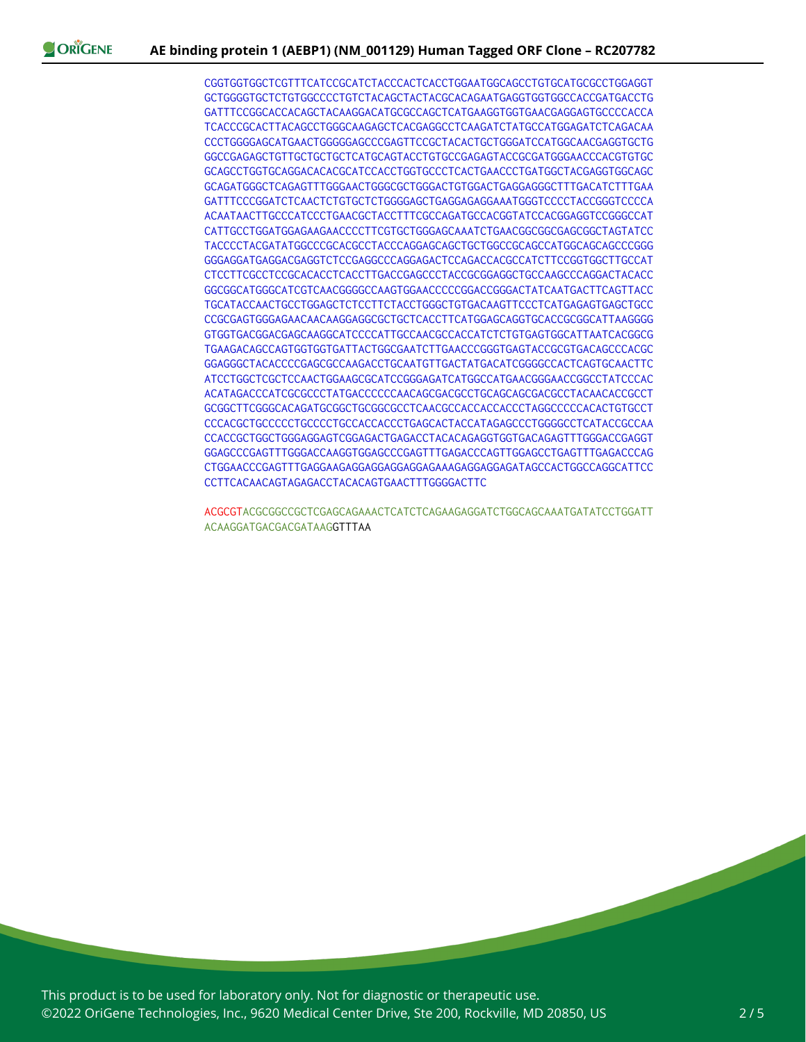CGGTGGTGGCTCGTTTCATCCGCATCTACCCACTCACCTGGAATGGCAGCCTGTGCATGCGCCTGGAGGT GCTGGGGTGCTCTGTGGCCCCTGTCTACAGCTACTACGCACAGAATGAGGTGGTGGCCACCGATGACCTG GATTTCCGGCACCACAGCTACAAGGACATGCGCCAGCTCATGAAGGTGGTGAACGAGGAGTGCCCCACCA TCACCCGCACTTACAGCCTGGGCAAGAGCTCACGAGGCCTCAAGATCTATGCCATGGAGATCTCAGACAA CCCTGGGGAGCATGAACTGGGGGAGCCCGAGTTCCGCTACACTGCTGGGATCCATGGCAACGAGGTGCTG GGCCGAGAGCTGTTGCTGCTGCTCATGCAGTACCTGTGCCGAGAGTACCGCGATGGGAACCCACGTGTGC GCAGCCTGGTGCAGGACACACGCATCCACCTGGTGCCCTCACTGAACCCTGATGGCTACGAGGTGGCAGC GCAGATGGGCTCAGAGTTTGGGAACTGGGCGCTGGGACTGTGGACTGAGGAGGGCTTTGACATCTTTGAA GATTTCCCGGATCTCAACTCTGTGCTCTGGGGAGCTGAGGAGAGGAAATGGGTCCCCTACCGGGTCCCCA ACAATAACTTGCCCATCCCTGAACGCTACCTTTCGCCAGATGCCACGGTATCCACGGAGGTCCGGGCCAT CATTGCCTGGATGGAGAAGAACCCCTTCGTGCTGGGAGCAAATCTGAACGGCGGCGAGCGGCTAGTATCC TACCCCTACGATATGGCCCGCACGCCTACCCAGGAGCAGCTGCTGGCCGCAGCCATGGCAGCAGCCCGGG GGGAGGATGAGGACGAGGTCTCCGAGGCCCAGGAGACTCCAGACCACGCCATCTTCCGGTGGCTTGCCAT CTCCTTCGCCTCCGCACACCTCACCTTGACCGAGCCCTACCGCGGAGGCTGCCAAGCCCAGGACTACACC GGCGGCATGGGCATCGTCAACGGGGCCAAGTGGAACCCCCGGACCGGGACTATCAATGACTTCAGTTACC TGCATACCAACTGCCTGGAGCTCTCCTTCTACCTGGGCTGTGACAAGTTCCCTCATGAGAGTGAGCTGCC CCGCGAGTGGGAGAACAACAAGGAGGCGCTGCTCACCTTCATGGAGCAGGTGCACCGCGGCATTAAGGGG GTGGTGACGGACGAGCAAGGCATCCCCATTGCCAACGCCACCATCTCTGTGAGTGGCATTAATCACGGCG TGAAGACAGCCAGTGGTGGTGATTACTGGCGAATCTTGAACCCGGGTGAGTACCGCGTGACAGCCCACGC GGAGGGCTACACCCCGAGCGCCAAGACCTGCAATGTTGACTATGACATCGGGGCCACTCAGTGCAACTTC ATCCTGGCTCGCTCCAACTGGAAGCGCATCCGGGAGATCATGGCCATGAACGGGAACCGGCCTATCCCAC ACATAGACCCATCGCGCCCTATGACCCCCCAACAGCGACGCCTGCAGCAGCGACGCCTACAACACCGCCT GCGGCTTCGGGCACAGATGCGGCTGCGGCGCCTCAACGCCACCACCACCCTAGGCCCCCACACTGTGCCT CCCACGCTGCCCCCTGCCCCTGCCACCACCCTGAGCACTACCATAGAGCCCTGGGGCCTCATACCGCCAA CCACCGCTGGCTGGGAGGAGTCGGAGACTGAGACCTACACAGAGGTGGTGACAGAGTTTGGGACCGAGGT GGAGCCCGAGTTTGGGACCAAGGTGGAGCCCGAGTTTGAGACCCAGTTGGAGCCTGAGTTTGAGACCCAG CTGGAACCCGAGTTTGAGGAAGAGGAGGAGGAGGAGAAAGAGGAGGAGATAGCCACTGGCCAGGCATTCC CCTTCACAACAGTAGAGACCTACACAGTGAACTTTGGGGACTTC

ACGCGTACGCGGCCGCTCGAGCAGAAACTCATCTCAGAAGAGGATCTGGCAGCAAATGATATCCTGGATT ACAAGGATGACGACGATAAGGTTTAA

This product is to be used for laboratory only. Not for diagnostic or therapeutic use. ©2022 OriGene Technologies, Inc., 9620 Medical Center Drive, Ste 200, Rockville, MD 20850, US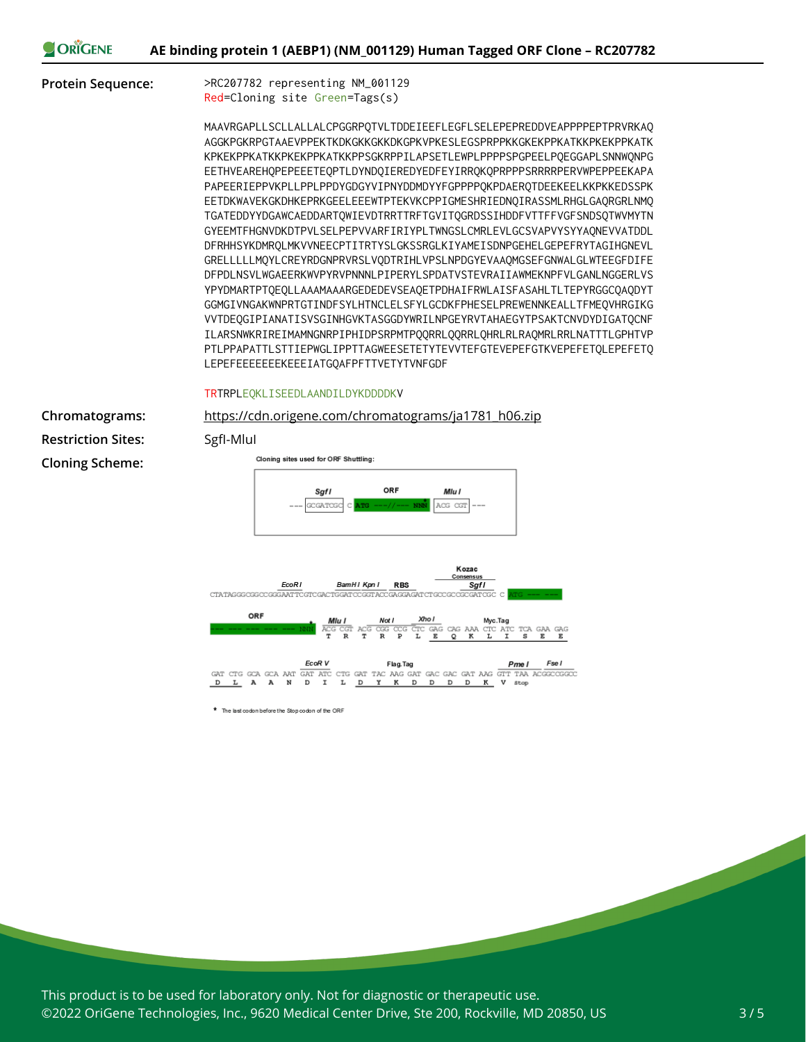**AE binding protein 1 (AEBP1) (NM\_001129) Human Tagged ORF Clone – RC207782**

ORIGENE

**Protein Sequence:** >RC207782 representing NM\_001129 Red=Cloning site Green=Tags(s)

> MAAVRGAPLLSCLLALLALCPGGRPQTVLTDDEIEEFLEGFLSELEPEPREDDVEAPPPPEPTPRVRKAQ AGGKPGKRPGTAAEVPPEKTKDKGKKGKKDKGPKVPKESLEGSPRPPKKGKEKPPKATKKPKEKPPKATK KPKEKPPKATKKPKEKPPKATKKPPSGKRPPILAPSETLEWPLPPPPSPGPEELPQEGGAPLSNNWQNPG EETHVEAREHQPEPEEETEQPTLDYNDQIEREDYEDFEYIRRQKQPRPPPSRRRRPERVWPEPPEEKAPA PAPEERIEPPVKPLLPPLPPDYGDGYVIPNYDDMDYYFGPPPPQKPDAERQTDEEKEELKKPKKEDSSPK EETDKWAVEKGKDHKEPRKGEELEEEWTPTEKVKCPPIGMESHRIEDNQIRASSMLRHGLGAQRGRLNMQ TGATEDDYYDGAWCAEDDARTQWIEVDTRRTTRFTGVITQGRDSSIHDDFVTTFFVGFSNDSQTWVMYTN GYEEMTFHGNVDKDTPVLSELPEPVVARFIRIYPLTWNGSLCMRLEVLGCSVAPVYSYYAQNEVVATDDL DFRHHSYKDMRQLMKVVNEECPTITRTYSLGKSSRGLKIYAMEISDNPGEHELGEPEFRYTAGIHGNEVL GRELLLLLMQYLCREYRDGNPRVRSLVQDTRIHLVPSLNPDGYEVAAQMGSEFGNWALGLWTEEGFDIFE DFPDLNSVLWGAEERKWVPYRVPNNNLPIPERYLSPDATVSTEVRAIIAWMEKNPFVLGANLNGGERLVS YPYDMARTPTQEQLLAAAMAAARGEDEDEVSEAQETPDHAIFRWLAISFASAHLTLTEPYRGGCQAQDYT GGMGIVNGAKWNPRTGTINDFSYLHTNCLELSFYLGCDKFPHESELPREWENNKEALLTFMEQVHRGIKG VVTDEQGIPIANATISVSGINHGVKTASGGDYWRILNPGEYRVTAHAEGYTPSAKTCNVDYDIGATQCNF ILARSNWKRIREIMAMNGNRPIPHIDPSRPMTPQQRRLQQRRLQHRLRLRAQMRLRRLNATTTLGPHTVP PTLPPAPATTLSTTIEPWGLIPPTTAGWEESETETYTEVVTEFGTEVEPEFGTKVEPEFETQLEPEFETQ LEPEFEEEEEEEKEEEIATGQAFPFTTVETYTVNFGDF

TRTRPLEQKLISEEDLAANDILDYKDDDDKV

**Chromatograms:** [https://cdn.origene.com/chromatograms/ja1781\\_h06.zip](https://cdn.origene.com/chromatograms/ja1781_h06.zip) **Restriction Sites:** SgfI-MluI **Cloning Scheme:**

Cloning sites used for ORF Shuttling:





\* The last codon before the Stop codon of the ORF

This product is to be used for laboratory only. Not for diagnostic or therapeutic use. ©2022 OriGene Technologies, Inc., 9620 Medical Center Drive, Ste 200, Rockville, MD 20850, US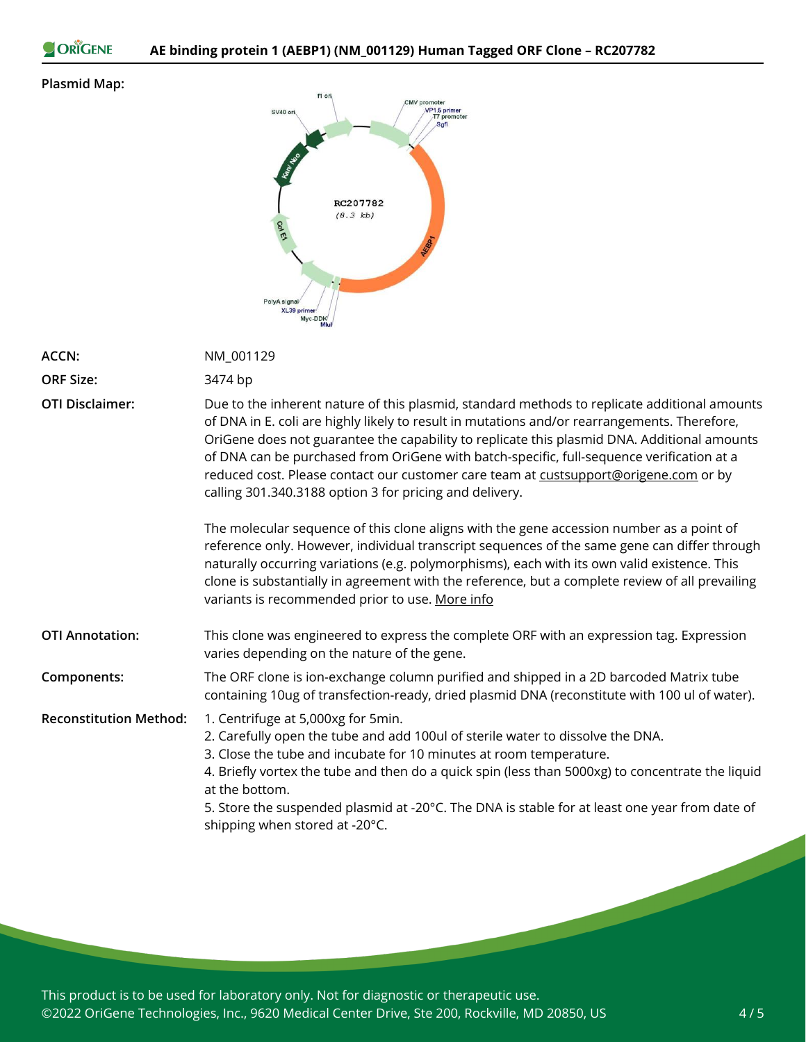```
ORIGENE
```
#### **Plasmid Map:**

|                              | f1 ori    | CMV promoter                |
|------------------------------|-----------|-----------------------------|
| SV40 ori                     |           | VP1.5 primer<br>T7 promoter |
|                              |           | Sgfl                        |
|                              |           |                             |
| <b>Kanz No</b>               |           |                             |
|                              |           |                             |
|                              |           |                             |
|                              |           |                             |
|                              | RC207782  |                             |
|                              |           |                             |
|                              | (8.3 k b) |                             |
| ColEt                        |           |                             |
|                              |           | <b>AEBP1</b>                |
|                              |           |                             |
|                              |           |                             |
|                              |           |                             |
|                              |           |                             |
|                              |           |                             |
| PolyA signal/<br>XL39 primer |           |                             |
| Myc-DDK                      |           |                             |

|                               | Miul                                                                                                                                                                                                                                                                                                                                                                                                                                                                                                                                        |
|-------------------------------|---------------------------------------------------------------------------------------------------------------------------------------------------------------------------------------------------------------------------------------------------------------------------------------------------------------------------------------------------------------------------------------------------------------------------------------------------------------------------------------------------------------------------------------------|
| <b>ACCN:</b>                  | NM_001129                                                                                                                                                                                                                                                                                                                                                                                                                                                                                                                                   |
| <b>ORF Size:</b>              | 3474 bp                                                                                                                                                                                                                                                                                                                                                                                                                                                                                                                                     |
| <b>OTI Disclaimer:</b>        | Due to the inherent nature of this plasmid, standard methods to replicate additional amounts<br>of DNA in E. coli are highly likely to result in mutations and/or rearrangements. Therefore,<br>OriGene does not guarantee the capability to replicate this plasmid DNA. Additional amounts<br>of DNA can be purchased from OriGene with batch-specific, full-sequence verification at a<br>reduced cost. Please contact our customer care team at custsupport@origene.com or by<br>calling 301.340.3188 option 3 for pricing and delivery. |
|                               | The molecular sequence of this clone aligns with the gene accession number as a point of<br>reference only. However, individual transcript sequences of the same gene can differ through<br>naturally occurring variations (e.g. polymorphisms), each with its own valid existence. This<br>clone is substantially in agreement with the reference, but a complete review of all prevailing<br>variants is recommended prior to use. More info                                                                                              |
| <b>OTI Annotation:</b>        | This clone was engineered to express the complete ORF with an expression tag. Expression<br>varies depending on the nature of the gene.                                                                                                                                                                                                                                                                                                                                                                                                     |
| Components:                   | The ORF clone is ion-exchange column purified and shipped in a 2D barcoded Matrix tube<br>containing 10ug of transfection-ready, dried plasmid DNA (reconstitute with 100 ul of water).                                                                                                                                                                                                                                                                                                                                                     |
| <b>Reconstitution Method:</b> | 1. Centrifuge at 5,000xg for 5min.<br>2. Carefully open the tube and add 100ul of sterile water to dissolve the DNA.<br>3. Close the tube and incubate for 10 minutes at room temperature.<br>4. Briefly vortex the tube and then do a quick spin (less than 5000xg) to concentrate the liquid<br>at the bottom.<br>5. Store the suspended plasmid at -20°C. The DNA is stable for at least one year from date of<br>shipping when stored at -20°C.                                                                                         |
|                               |                                                                                                                                                                                                                                                                                                                                                                                                                                                                                                                                             |

This product is to be used for laboratory only. Not for diagnostic or therapeutic use. ©2022 OriGene Technologies, Inc., 9620 Medical Center Drive, Ste 200, Rockville, MD 20850, US